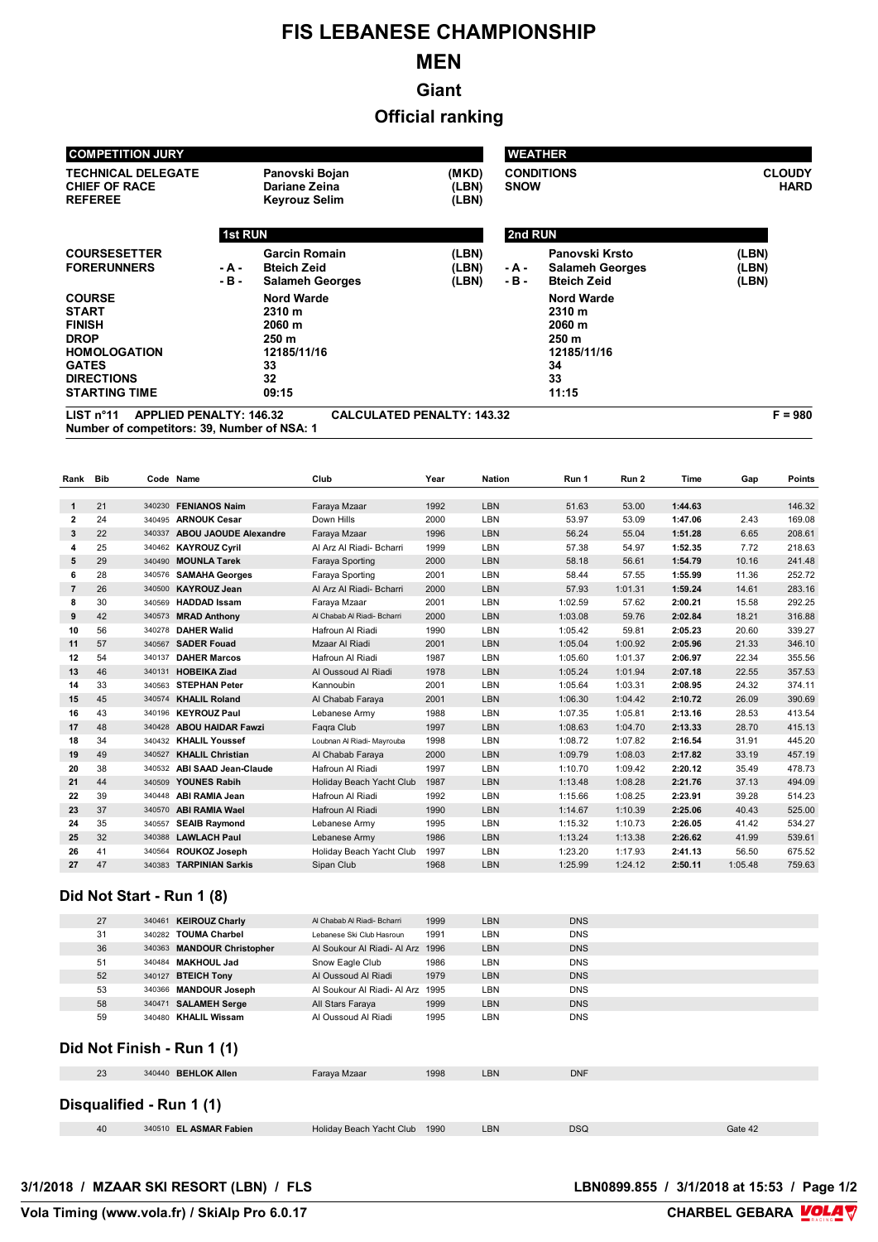# **FIS LEBANESE CHAMPIONSHIP**

## **MEN**

**Giant**

## **Official ranking**

| <b>COMPETITION JURY</b>                                                                                                                           |                |                                                                                    |                                   |                                  | <b>WEATHER</b>                                                                     |                              |  |  |  |
|---------------------------------------------------------------------------------------------------------------------------------------------------|----------------|------------------------------------------------------------------------------------|-----------------------------------|----------------------------------|------------------------------------------------------------------------------------|------------------------------|--|--|--|
| <b>TECHNICAL DELEGATE</b><br><b>CHIEF OF RACE</b><br><b>REFEREE</b>                                                                               |                | Panovski Bojan<br>Dariane Zeina<br><b>Keyrouz Selim</b>                            | (MKD)<br>(LBN)<br>(LBN)           | <b>CONDITIONS</b><br><b>SNOW</b> |                                                                                    | <b>CLOUDY</b><br><b>HARD</b> |  |  |  |
|                                                                                                                                                   | <b>1st RUN</b> |                                                                                    |                                   | 2nd RUN                          |                                                                                    |                              |  |  |  |
| <b>COURSESETTER</b><br><b>FORERUNNERS</b>                                                                                                         | - A -<br>- B - | <b>Garcin Romain</b><br><b>Bteich Zeid</b><br><b>Salameh Georges</b>               | (LBN)<br>(LBN)<br>(LBN)           | - A -<br>- B -                   | Panovski Krsto<br><b>Salameh Georges</b><br><b>Bteich Zeid</b>                     | (LBN)<br>(LBN)<br>(LBN)      |  |  |  |
| <b>COURSE</b><br><b>START</b><br><b>FINISH</b><br><b>DROP</b><br><b>HOMOLOGATION</b><br><b>GATES</b><br><b>DIRECTIONS</b><br><b>STARTING TIME</b> |                | <b>Nord Warde</b><br>2310 m<br>2060 m<br>250 m<br>12185/11/16<br>33<br>32<br>09:15 |                                   |                                  | <b>Nord Warde</b><br>2310 m<br>2060 m<br>250 m<br>12185/11/16<br>34<br>33<br>11:15 |                              |  |  |  |
| LIST $n^{\circ}$ 11<br><b>APPLIED PENALTY: 146.32</b>                                                                                             |                |                                                                                    | <b>CALCULATED PENALTY: 143.32</b> |                                  |                                                                                    | $F = 980$                    |  |  |  |

**Number of competitors: 39, Number of NSA: 1**

| Rank           | <b>Bib</b> |        | Code Name                    | Club                        | Year | <b>Nation</b> | Run 1   | Run 2   | Time    | Gap     | <b>Points</b> |
|----------------|------------|--------|------------------------------|-----------------------------|------|---------------|---------|---------|---------|---------|---------------|
|                |            |        |                              |                             |      |               |         |         |         |         |               |
| $\mathbf{1}$   | 21         | 340230 | <b>FENIANOS Naim</b>         | Faraya Mzaar                | 1992 | LBN           | 51.63   | 53.00   | 1:44.63 |         | 146.32        |
| $\mathbf{2}$   | 24         | 340495 | <b>ARNOUK Cesar</b>          | Down Hills                  | 2000 | LBN           | 53.97   | 53.09   | 1:47.06 | 2.43    | 169.08        |
| 3              | 22         | 340337 | <b>ABOU JAOUDE Alexandre</b> | Faraya Mzaar                | 1996 | LBN           | 56.24   | 55.04   | 1:51.28 | 6.65    | 208.61        |
| 4              | 25         |        | 340462 KAYROUZ Cyril         | Al Arz Al Riadi- Bcharri    | 1999 | LBN           | 57.38   | 54.97   | 1:52.35 | 7.72    | 218.63        |
| 5              | 29         | 340490 | <b>MOUNLA Tarek</b>          | Faraya Sporting             | 2000 | LBN           | 58.18   | 56.61   | 1:54.79 | 10.16   | 241.48        |
| 6              | 28         | 340576 | <b>SAMAHA Georges</b>        | Faraya Sporting             | 2001 | LBN           | 58.44   | 57.55   | 1:55.99 | 11.36   | 252.72        |
| $\overline{7}$ | 26         | 340500 | <b>KAYROUZ Jean</b>          | Al Arz Al Riadi- Bcharri    | 2000 | LBN           | 57.93   | 1:01.31 | 1:59.24 | 14.61   | 283.16        |
| 8              | 30         | 340569 | <b>HADDAD Issam</b>          | Faraya Mzaar                | 2001 | LBN           | 1:02.59 | 57.62   | 2:00.21 | 15.58   | 292.25        |
| 9              | 42         | 340573 | <b>MRAD Anthony</b>          | Al Chabab Al Riadi- Bcharri | 2000 | <b>LBN</b>    | 1:03.08 | 59.76   | 2:02.84 | 18.21   | 316.88        |
| 10             | 56         | 340278 | <b>DAHER Walid</b>           | Hafroun Al Riadi            | 1990 | LBN           | 1:05.42 | 59.81   | 2:05.23 | 20.60   | 339.27        |
| 11             | 57         | 340567 | <b>SADER Fouad</b>           | Mzaar Al Riadi              | 2001 | <b>LBN</b>    | 1:05.04 | 1:00.92 | 2:05.96 | 21.33   | 346.10        |
| 12             | 54         | 340137 | <b>DAHER Marcos</b>          | Hafroun Al Riadi            | 1987 | LBN           | 1:05.60 | 1:01.37 | 2:06.97 | 22.34   | 355.56        |
| 13             | 46         | 340131 | <b>HOBEIKA Ziad</b>          | Al Oussoud Al Riadi         | 1978 | <b>LBN</b>    | 1:05.24 | 1:01.94 | 2:07.18 | 22.55   | 357.53        |
| 14             | 33         |        | 340563 STEPHAN Peter         | Kannoubin                   | 2001 | LBN           | 1:05.64 | 1:03.31 | 2:08.95 | 24.32   | 374.11        |
| 15             | 45         | 340574 | <b>KHALIL Roland</b>         | Al Chabab Faraya            | 2001 | LBN           | 1:06.30 | 1:04.42 | 2:10.72 | 26.09   | 390.69        |
| 16             | 43         | 340196 | <b>KEYROUZ Paul</b>          | Lebanese Army               | 1988 | LBN           | 1:07.35 | 1:05.81 | 2:13.16 | 28.53   | 413.54        |
| 17             | 48         | 340428 | <b>ABOU HAIDAR Fawzi</b>     | Fagra Club                  | 1997 | LBN           | 1:08.63 | 1:04.70 | 2:13.33 | 28.70   | 415.13        |
| 18             | 34         |        | 340432 KHALIL Youssef        | Loubnan Al Riadi- Mayrouba  | 1998 | LBN           | 1:08.72 | 1:07.82 | 2:16.54 | 31.91   | 445.20        |
| 19             | 49         | 340527 | <b>KHALIL Christian</b>      | Al Chabab Faraya            | 2000 | LBN           | 1:09.79 | 1:08.03 | 2:17.82 | 33.19   | 457.19        |
| 20             | 38         | 340532 | <b>ABI SAAD Jean-Claude</b>  | Hafroun Al Riadi            | 1997 | LBN           | 1:10.70 | 1:09.42 | 2:20.12 | 35.49   | 478.73        |
| 21             | 44         | 340509 | <b>YOUNES Rabih</b>          | Holiday Beach Yacht Club    | 1987 | LBN           | 1:13.48 | 1:08.28 | 2:21.76 | 37.13   | 494.09        |
| 22             | 39         | 340448 | <b>ABI RAMIA Jean</b>        | Hafroun Al Riadi            | 1992 | LBN           | 1:15.66 | 1:08.25 | 2:23.91 | 39.28   | 514.23        |
| 23             | 37         | 340570 | <b>ABI RAMIA Wael</b>        | Hafroun Al Riadi            | 1990 | LBN           | 1:14.67 | 1:10.39 | 2:25.06 | 40.43   | 525.00        |
| 24             | 35         | 340557 | <b>SEAIB Raymond</b>         | Lebanese Army               | 1995 | LBN           | 1:15.32 | 1:10.73 | 2:26.05 | 41.42   | 534.27        |
| 25             | 32         | 340388 | <b>LAWLACH Paul</b>          | Lebanese Army               | 1986 | <b>LBN</b>    | 1:13.24 | 1:13.38 | 2:26.62 | 41.99   | 539.61        |
| 26             | 41         | 340564 | <b>ROUKOZ Joseph</b>         | Holiday Beach Yacht Club    | 1997 | LBN           | 1:23.20 | 1:17.93 | 2:41.13 | 56.50   | 675.52        |
| 27             | 47         | 340383 | <b>TARPINIAN Sarkis</b>      | Sipan Club                  | 1968 | LBN           | 1:25.99 | 1:24.12 | 2:50.11 | 1:05.48 | 759.63        |

#### **Did Not Start - Run 1 (8)**

|                          | 27                         |  | 340461 KEIROUZ Charly      | Al Chabab Al Riadi- Bcharri | 1999 | <b>LBN</b> | <b>DNS</b> |         |  |  |
|--------------------------|----------------------------|--|----------------------------|-----------------------------|------|------------|------------|---------|--|--|
|                          | 31                         |  | 340282 TOUMA Charbel       | Lebanese Ski Club Hasroun   | 1991 | LBN        | <b>DNS</b> |         |  |  |
|                          | 36                         |  | 340363 MANDOUR Christopher | Al Soukour Al Riadi- Al Arz | 1996 | <b>LBN</b> | <b>DNS</b> |         |  |  |
|                          | 51                         |  | 340484 MAKHOUL Jad         | Snow Eagle Club             | 1986 | LBN        | <b>DNS</b> |         |  |  |
|                          | 52                         |  | 340127 BTEICH Tony         | Al Oussoud Al Riadi         | 1979 | <b>LBN</b> | <b>DNS</b> |         |  |  |
|                          | 53                         |  | 340366 MANDOUR Joseph      | Al Soukour Al Riadi- Al Arz | 1995 | LBN        | <b>DNS</b> |         |  |  |
|                          | 58                         |  | 340471 SALAMEH Serge       | All Stars Faraya            | 1999 | <b>LBN</b> | <b>DNS</b> |         |  |  |
|                          | 59                         |  | 340480 KHALIL Wissam       | Al Oussoud Al Riadi         | 1995 | LBN        | <b>DNS</b> |         |  |  |
|                          | Did Not Finish - Run 1 (1) |  |                            |                             |      |            |            |         |  |  |
|                          | 23                         |  | 340440 BEHLOK Allen        | Faraya Mzaar                | 1998 | <b>LBN</b> | <b>DNF</b> |         |  |  |
| Disqualified - Run 1 (1) |                            |  |                            |                             |      |            |            |         |  |  |
|                          | 40                         |  | 340510 EL ASMAR Fabien     | Holiday Beach Yacht Club    | 1990 | LBN        | <b>DSQ</b> | Gate 42 |  |  |